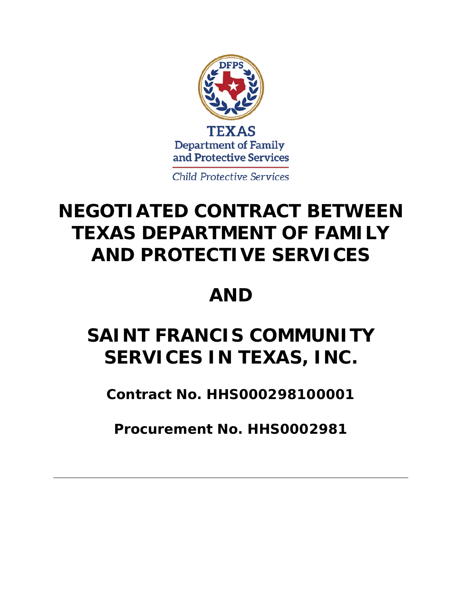

**Child Protective Services** 

## **NEGOTIATED CONTRACT BETWEEN TEXAS DEPARTMENT OF FAMILY AND PROTECTIVE SERVICES**

## **AND**

# **SAINT FRANCIS COMMUNITY SERVICES IN TEXAS, INC.**

**Contract No. HHS000298100001**

**Procurement No. HHS0002981**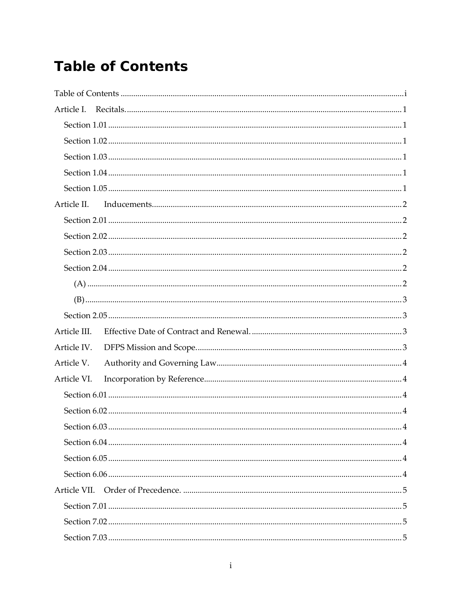## <span id="page-2-0"></span>**Table of Contents**

| Article I.   |  |  |
|--------------|--|--|
|              |  |  |
|              |  |  |
|              |  |  |
|              |  |  |
|              |  |  |
| Article II.  |  |  |
|              |  |  |
|              |  |  |
|              |  |  |
|              |  |  |
|              |  |  |
|              |  |  |
|              |  |  |
| Article III. |  |  |
| Article IV.  |  |  |
| Article V.   |  |  |
| Article VI.  |  |  |
|              |  |  |
|              |  |  |
|              |  |  |
|              |  |  |
|              |  |  |
|              |  |  |
|              |  |  |
|              |  |  |
|              |  |  |
|              |  |  |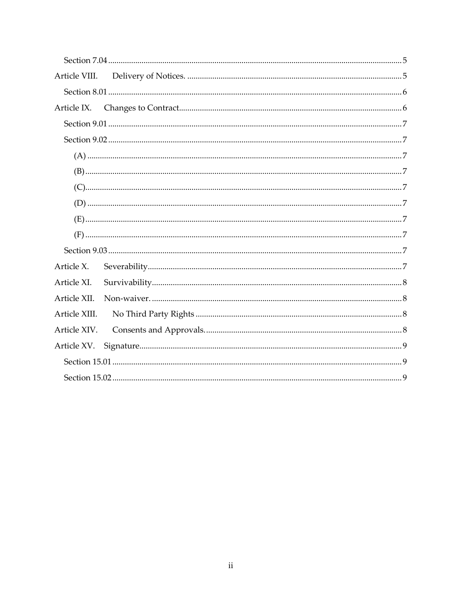| Article VIII. |  |  |
|---------------|--|--|
|               |  |  |
| Article IX.   |  |  |
|               |  |  |
|               |  |  |
|               |  |  |
|               |  |  |
|               |  |  |
|               |  |  |
|               |  |  |
|               |  |  |
|               |  |  |
| Article X.    |  |  |
| Article XI.   |  |  |
| Article XII.  |  |  |
| Article XIII. |  |  |
| Article XIV.  |  |  |
| Article XV.   |  |  |
|               |  |  |
|               |  |  |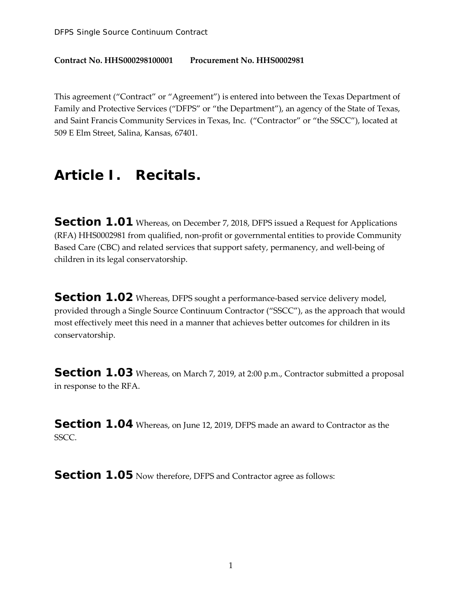#### **Contract No. HHS000298100001 Procurement No. HHS0002981**

This agreement ("Contract" or "Agreement") is entered into between the Texas Department of Family and Protective Services ("DFPS" or "the Department"), an agency of the State of Texas, and Saint Francis Community Services in Texas, Inc. ("Contractor" or "the SSCC"), located at 509 E Elm Street, Salina, Kansas, 67401.

#### <span id="page-5-0"></span>**Article I. Recitals.**

<span id="page-5-1"></span>**Section 1.01** Whereas, on December 7, 2018, DFPS issued a Request for Applications (RFA) HHS0002981 from qualified, non-profit or governmental entities to provide Community Based Care (CBC) and related services that support safety, permanency, and well-being of children in its legal conservatorship.

<span id="page-5-2"></span>**Section 1.02** Whereas, DFPS sought a performance-based service delivery model, provided through a Single Source Continuum Contractor ("SSCC"), as the approach that would most effectively meet this need in a manner that achieves better outcomes for children in its conservatorship.

<span id="page-5-3"></span>**Section 1.03** Whereas, on March 7, 2019, at 2:00 p.m., Contractor submitted a proposal in response to the RFA.

<span id="page-5-4"></span>**Section 1.04** Whereas, on June 12, 2019, DFPS made an award to Contractor as the SSCC.

<span id="page-5-5"></span>**Section 1.05** Now therefore, DFPS and Contractor agree as follows: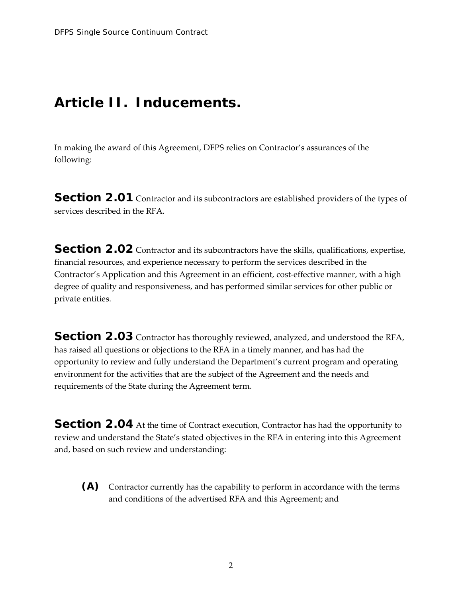#### <span id="page-6-0"></span>**Article II. Inducements.**

In making the award of this Agreement, DFPS relies on Contractor's assurances of the following:

<span id="page-6-1"></span>**Section 2.01** Contractor and its subcontractors are established providers of the types of services described in the RFA.

<span id="page-6-2"></span>**Section 2.02** Contractor and its subcontractors have the skills, qualifications, expertise, financial resources, and experience necessary to perform the services described in the Contractor's Application and this Agreement in an efficient, cost-effective manner, with a high degree of quality and responsiveness, and has performed similar services for other public or private entities.

<span id="page-6-3"></span>**Section 2.03** Contractor has thoroughly reviewed, analyzed, and understood the RFA, has raised all questions or objections to the RFA in a timely manner, and has had the opportunity to review and fully understand the Department's current program and operating environment for the activities that are the subject of the Agreement and the needs and requirements of the State during the Agreement term.

<span id="page-6-4"></span>**Section 2.04** At the time of Contract execution, Contractor has had the opportunity to review and understand the State's stated objectives in the RFA in entering into this Agreement and, based on such review and understanding:

<span id="page-6-5"></span>**(A)** Contractor currently has the capability to perform in accordance with the terms and conditions of the advertised RFA and this Agreement; and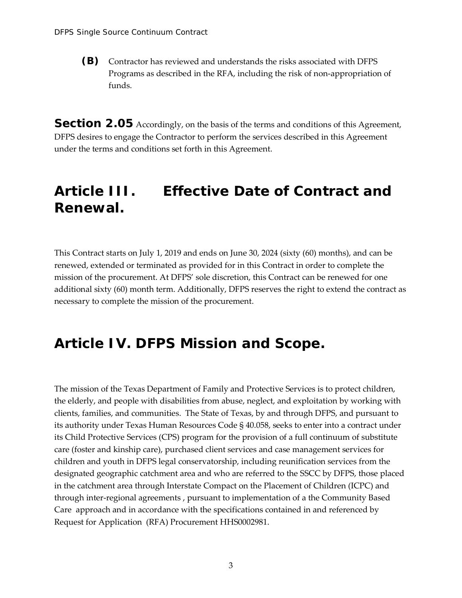<span id="page-7-0"></span>**(B)** Contractor has reviewed and understands the risks associated with DFPS Programs as described in the RFA, including the risk of non-appropriation of funds.

<span id="page-7-1"></span>**Section 2.05** Accordingly, on the basis of the terms and conditions of this Agreement, DFPS desires to engage the Contractor to perform the services described in this Agreement under the terms and conditions set forth in this Agreement.

#### <span id="page-7-2"></span>**Article III. Effective Date of Contract and Renewal.**

This Contract starts on July 1, 2019 and ends on June 30, 2024 (sixty (60) months), and can be renewed, extended or terminated as provided for in this Contract in order to complete the mission of the procurement. At DFPS' sole discretion, this Contract can be renewed for one additional sixty (60) month term. Additionally, DFPS reserves the right to extend the contract as necessary to complete the mission of the procurement.

#### <span id="page-7-3"></span>**Article IV. DFPS Mission and Scope.**

The mission of the Texas Department of Family and Protective Services is to protect children, the elderly, and people with disabilities from abuse, neglect, and exploitation by working with clients, families, and communities. The State of Texas, by and through DFPS, and pursuant to its authority under Texas Human Resources Code § 40.058, seeks to enter into a contract under its Child Protective Services (CPS) program for the provision of a full continuum of substitute care (foster and kinship care), purchased client services and case management services for children and youth in DFPS legal conservatorship, including reunification services from the designated geographic catchment area and who are referred to the SSCC by DFPS, those placed in the catchment area through Interstate Compact on the Placement of Children (ICPC) and through inter-regional agreements , pursuant to implementation of a the Community Based Care approach and in accordance with the specifications contained in and referenced by Request for Application (RFA) Procurement HHS0002981.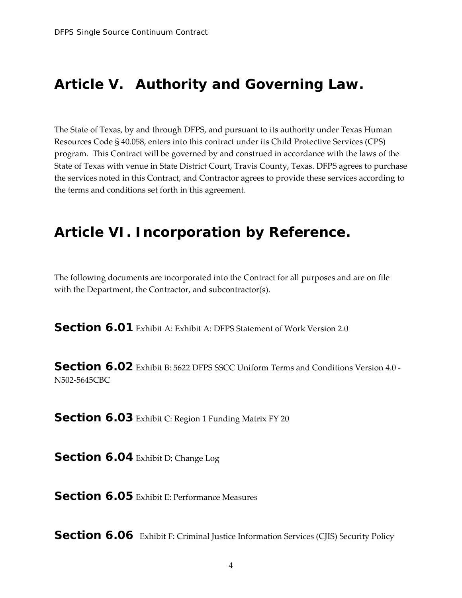#### <span id="page-8-0"></span>**Article V. Authority and Governing Law.**

The State of Texas, by and through DFPS, and pursuant to its authority under Texas Human Resources Code § 40.058, enters into this contract under its Child Protective Services (CPS) program. This Contract will be governed by and construed in accordance with the laws of the State of Texas with venue in State District Court, Travis County, Texas. DFPS agrees to purchase the services noted in this Contract, and Contractor agrees to provide these services according to the terms and conditions set forth in this agreement.

#### <span id="page-8-1"></span>**Article VI. Incorporation by Reference.**

The following documents are incorporated into the Contract for all purposes and are on file with the Department, the Contractor, and subcontractor(s).

<span id="page-8-2"></span>**Section 6.01** Exhibit A: Exhibit A: DFPS Statement of Work Version 2.0

<span id="page-8-3"></span>**Section 6.02** Exhibit B: 5622 DFPS SSCC Uniform Terms and Conditions Version 4.0 -N502-5645CBC

<span id="page-8-4"></span>**Section 6.03** Exhibit C: Region 1 Funding Matrix FY 20

<span id="page-8-5"></span>**Section 6.04** Exhibit D: Change Log

<span id="page-8-6"></span>**Section 6.05** Exhibit E: Performance Measures

<span id="page-8-7"></span>**Section 6.06** Exhibit F: Criminal Justice Information Services (CJIS) Security Policy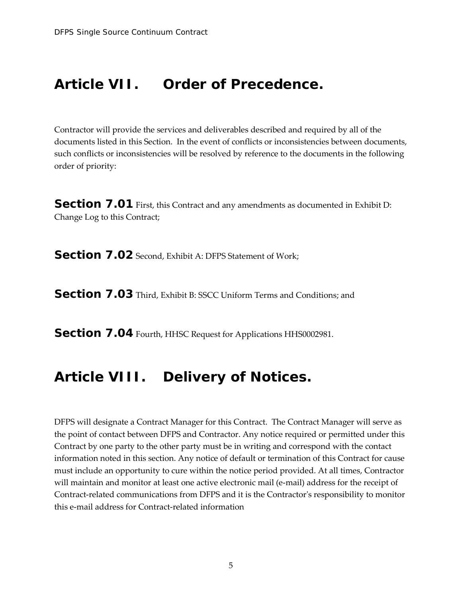#### <span id="page-9-0"></span>**Article VII. Order of Precedence.**

Contractor will provide the services and deliverables described and required by all of the documents listed in this Section. In the event of conflicts or inconsistencies between documents, such conflicts or inconsistencies will be resolved by reference to the documents in the following order of priority:

<span id="page-9-1"></span>**Section 7.01** First, this Contract and any amendments as documented in Exhibit D: Change Log to this Contract;

<span id="page-9-2"></span>**Section 7.02** Second, Exhibit A: DFPS Statement of Work;

<span id="page-9-3"></span>**Section 7.03** Third, Exhibit B: SSCC Uniform Terms and Conditions; and

<span id="page-9-4"></span>**Section 7.04** Fourth, HHSC Request for Applications HHS0002981.

#### <span id="page-9-5"></span>**Article VIII. Delivery of Notices.**

DFPS will designate a Contract Manager for this Contract. The Contract Manager will serve as the point of contact between DFPS and Contractor. Any notice required or permitted under this Contract by one party to the other party must be in writing and correspond with the contact information noted in this section. Any notice of default or termination of this Contract for cause must include an opportunity to cure within the notice period provided. At all times, Contractor will maintain and monitor at least one active electronic mail (e-mail) address for the receipt of Contract-related communications from DFPS and it is the Contractor's responsibility to monitor this e-mail address for Contract-related information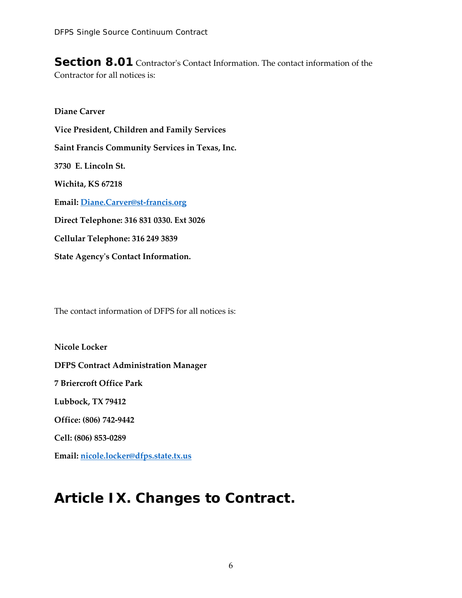<span id="page-10-0"></span>**Section 8.01** Contractor's Contact Information. The contact information of the Contractor for all notices is:

**Diane Carver Vice President, Children and Family Services Saint Francis Community Services in Texas, Inc. 3730 E. Lincoln St. Wichita, KS 67218 Email: Diane.Carver@st-francis.org Direct Telephone: 316 831 0330. Ext 3026 Cellular Telephone: 316 249 3839 State Agency's Contact Information.**

The contact information of DFPS for all notices is:

**Nicole Locker DFPS Contract Administration Manager 7 Briercroft Office Park Lubbock, TX 79412 Office: (806) 742-9442 Cell: (806) 853-0289 Email: nicole.locker@dfps.state.tx.us**

### <span id="page-10-1"></span>**Article IX. Changes to Contract.**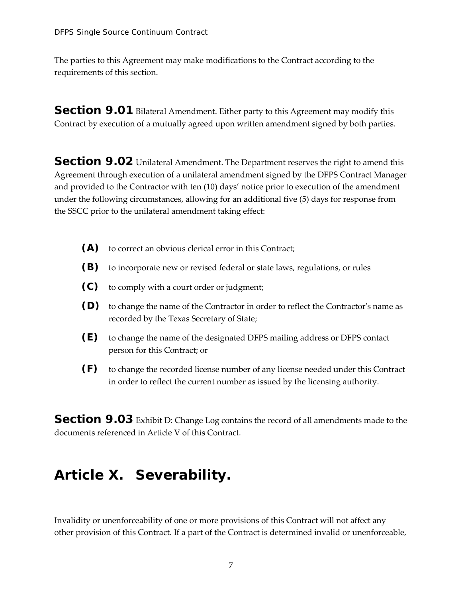The parties to this Agreement may make modifications to the Contract according to the requirements of this section.

<span id="page-11-0"></span>**Section 9.01** Bilateral Amendment. Either party to this Agreement may modify this Contract by execution of a mutually agreed upon written amendment signed by both parties.

<span id="page-11-1"></span>**Section 9.02** Unilateral Amendment. The Department reserves the right to amend this Agreement through execution of a unilateral amendment signed by the DFPS Contract Manager and provided to the Contractor with ten (10) days' notice prior to execution of the amendment under the following circumstances, allowing for an additional five (5) days for response from the SSCC prior to the unilateral amendment taking effect:

- <span id="page-11-2"></span>**(A)** to correct an obvious clerical error in this Contract;
- <span id="page-11-3"></span>**(B)** to incorporate new or revised federal or state laws, regulations, or rules
- <span id="page-11-4"></span>**(C)** to comply with a court order or judgment;
- <span id="page-11-5"></span>**(D)** to change the name of the Contractor in order to reflect the Contractor's name as recorded by the Texas Secretary of State;
- <span id="page-11-6"></span>**(E)** to change the name of the designated DFPS mailing address or DFPS contact person for this Contract; or
- <span id="page-11-7"></span>**(F)** to change the recorded license number of any license needed under this Contract in order to reflect the current number as issued by the licensing authority.

<span id="page-11-8"></span>**Section 9.03** Exhibit D: Change Log contains the record of all amendments made to the documents referenced in Article V of this Contract.

#### <span id="page-11-9"></span>**Article X. Severability.**

Invalidity or unenforceability of one or more provisions of this Contract will not affect any other provision of this Contract. If a part of the Contract is determined invalid or unenforceable,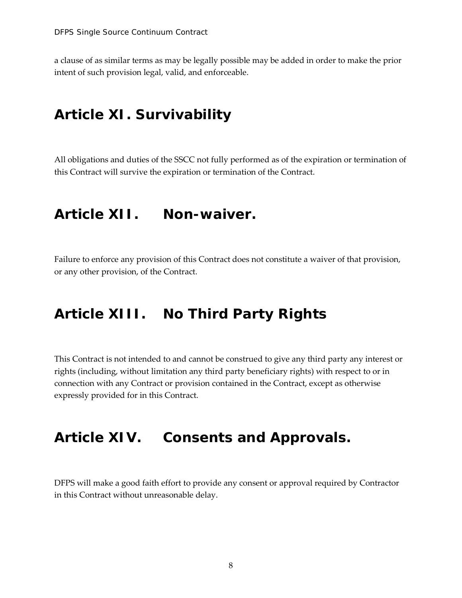a clause of as similar terms as may be legally possible may be added in order to make the prior intent of such provision legal, valid, and enforceable.

#### <span id="page-12-0"></span>**Article XI. Survivability**

All obligations and duties of the SSCC not fully performed as of the expiration or termination of this Contract will survive the expiration or termination of the Contract.

#### <span id="page-12-1"></span>**Article XII. Non-waiver.**

Failure to enforce any provision of this Contract does not constitute a waiver of that provision, or any other provision, of the Contract.

#### <span id="page-12-2"></span>**Article XIII. No Third Party Rights**

This Contract is not intended to and cannot be construed to give any third party any interest or rights (including, without limitation any third party beneficiary rights) with respect to or in connection with any Contract or provision contained in the Contract, except as otherwise expressly provided for in this Contract.

#### <span id="page-12-3"></span>**Article XIV. Consents and Approvals.**

DFPS will make a good faith effort to provide any consent or approval required by Contractor in this Contract without unreasonable delay.